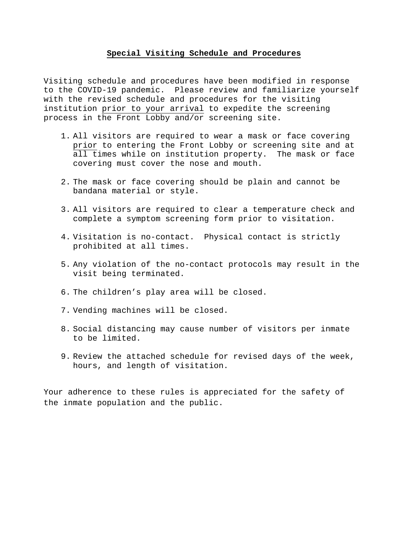#### **Special Visiting Schedule and Procedures**

Visiting schedule and procedures have been modified in response to the COVID-19 pandemic. Please review and familiarize yourself with the revised schedule and procedures for the visiting institution prior to your arrival to expedite the screening process in the Front Lobby and/or screening site.

- 1. All visitors are required to wear a mask or face covering prior to entering the Front Lobby or screening site and at all times while on institution property. The mask or face covering must cover the nose and mouth.
- 2. The mask or face covering should be plain and cannot be bandana material or style.
- 3. All visitors are required to clear a temperature check and complete a symptom screening form prior to visitation.
- 4. Visitation is no-contact. Physical contact is strictly prohibited at all times.
- 5. Any violation of the no-contact protocols may result in the visit being terminated.
- 6. The children's play area will be closed.
- 7. Vending machines will be closed.
- 8. Social distancing may cause number of visitors per inmate to be limited.
- 9. Review the attached schedule for revised days of the week, hours, and length of visitation.

Your adherence to these rules is appreciated for the safety of the inmate population and the public.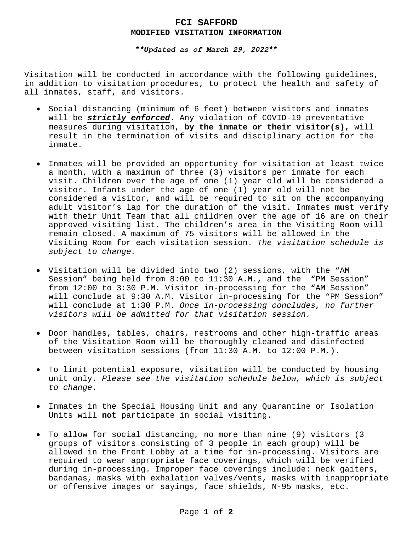### **FCI SAFFORD MODIFIED VISITATION INFORMATION**

#### *\*\*Updated as of March 29, 2022\*\**

Visitation will be conducted in accordance with the following guidelines, in addition to visitation procedures, to protect the health and safety of all inmates, staff, and visitors.

- Social distancing (minimum of 6 feet) between visitors and inmates will be *strictly enforced*. Any violation of COVID-19 preventative measures during visitation, **by the inmate or their visitor(s),** will result in the termination of visits and disciplinary action for the inmate.
- Inmates will be provided an opportunity for visitation at least twice a month, with a maximum of three (3) visitors per inmate for each visit. Children over the age of one (1) year old will be considered a visitor. Infants under the age of one (1) year old will not be considered a visitor, and will be required to sit on the accompanying adult visitor's lap for the duration of the visit. Inmates **must** verify with their Unit Team that all children over the age of 16 are on their approved visiting list. The children's area in the Visiting Room will remain closed. A maximum of 75 visitors will be allowed in the Visiting Room for each visitation session. *The visitation schedule is subject to change.*
- Visitation will be divided into two (2) sessions, with the "AM Session" being held from 8:00 to 11:30 A.M., and the "PM Session" from 12:00 to 3:30 P.M. Visitor in-processing for the "AM Session" will conclude at 9:30 A.M. Visitor in-processing for the "PM Session" will conclude at 1:30 P.M. *Once in-processing concludes, no further visitors will be admitted for that visitation session.*
- Door handles, tables, chairs, restrooms and other high-traffic areas of the Visitation Room will be thoroughly cleaned and disinfected between visitation sessions (from 11:30 A.M. to 12:00 P.M.).
- To limit potential exposure, visitation will be conducted by housing unit only. *Please see the visitation schedule below, which is subject to change.*
- Inmates in the Special Housing Unit and any Quarantine or Isolation Units will **not** participate in social visiting.
- To allow for social distancing, no more than nine (9) visitors (3 groups of visitors consisting of 3 people in each group) will be allowed in the Front Lobby at a time for in-processing. Visitors are required to wear appropriate face coverings, which will be verified during in-processing. Improper face coverings include: neck gaiters, bandanas, masks with exhalation valves/vents, masks with inappropriate or offensive images or sayings, face shields, N-95 masks, etc.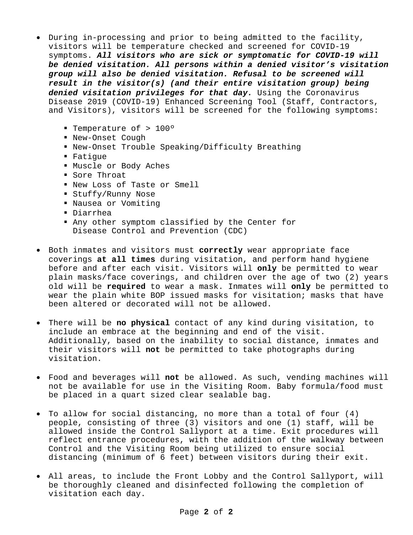- During in-processing and prior to being admitted to the facility, visitors will be temperature checked and screened for COVID-19 symptoms. *All visitors who are sick or symptomatic for COVID-19 will be denied visitation. All persons within a denied visitor's visitation group will also be denied visitation. Refusal to be screened will result in the visitor(s) (and their entire visitation group) being denied visitation privileges for that day.* Using the Coronavirus Disease 2019 (COVID-19) Enhanced Screening Tool (Staff, Contractors, and Visitors), visitors will be screened for the following symptoms:
	- Temperature of > 100º
	- New-Onset Cough
	- New-Onset Trouble Speaking/Difficulty Breathing
	- Fatigue
	- Muscle or Body Aches
	- Sore Throat
	- New Loss of Taste or Smell
	- Stuffy/Runny Nose
	- Nausea or Vomiting
	- Diarrhea
	- Any other symptom classified by the Center for Disease Control and Prevention (CDC)
- Both inmates and visitors must **correctly** wear appropriate face coverings **at all times** during visitation, and perform hand hygiene before and after each visit. Visitors will **only** be permitted to wear plain masks/face coverings, and children over the age of two (2) years old will be **required** to wear a mask. Inmates will **only** be permitted to wear the plain white BOP issued masks for visitation; masks that have been altered or decorated will not be allowed.
- There will be **no physical** contact of any kind during visitation, to include an embrace at the beginning and end of the visit. Additionally, based on the inability to social distance, inmates and their visitors will **not** be permitted to take photographs during visitation.
- Food and beverages will **not** be allowed. As such, vending machines will not be available for use in the Visiting Room. Baby formula/food must be placed in a quart sized clear sealable bag.
- To allow for social distancing, no more than a total of four (4) people, consisting of three (3) visitors and one (1) staff, will be allowed inside the Control Sallyport at a time. Exit procedures will reflect entrance procedures, with the addition of the walkway between Control and the Visiting Room being utilized to ensure social distancing (minimum of 6 feet) between visitors during their exit.
- All areas, to include the Front Lobby and the Control Sallyport, will be thoroughly cleaned and disinfected following the completion of visitation each day.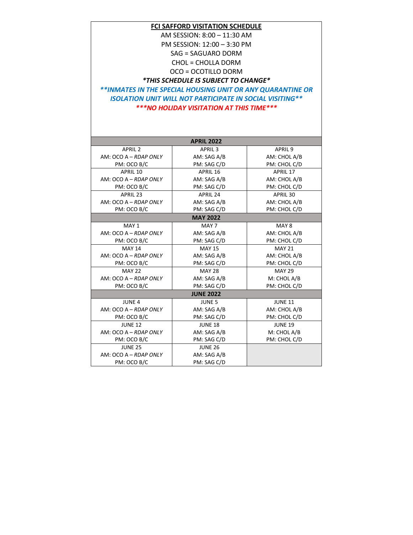### **FCI SAFFORD VISITATION SCHEDULE**

AM SESSION: 8:00 – 11:30 AM

PM SESSION: 12:00 – 3:30 PM

SAG = SAGUARO DORM

CHOL = CHOLLA DORM

OCO = OCOTILLO DORM

*\*THIS SCHEDULE IS SUBJECT TO CHANGE\**

*\*\*INMATES IN THE SPECIAL HOUSING UNIT OR ANY QUARANTINE OR ISOLATION UNIT WILL NOT PARTICIPATE IN SOCIAL VISITING\*\* \*\*\*NO HOLIDAY VISITATION AT THIS TIME\*\*\**

| <b>APRIL 2022</b>       |                    |                    |
|-------------------------|--------------------|--------------------|
| <b>APRIL 2</b>          | APRIL <sub>3</sub> | APRIL <sub>9</sub> |
| AM: OCO A - RDAP ONLY   | AM: SAG A/B        | AM: CHOL A/B       |
| PM: OCO B/C             | PM: SAG C/D        | PM: CHOL C/D       |
| APRIL 10                | APRIL 16           | APRIL 17           |
| $AM: OCO A - RDAP ONLY$ | AM: SAG A/B        | AM: CHOL A/B       |
| PM: OCO B/C             | PM: SAG C/D        | PM: CHOL C/D       |
| APRIL 23                | <b>APRIL 24</b>    | APRIL 30           |
| AM: OCO A - RDAP ONLY   | AM: SAG A/B        | AM: CHOL A/B       |
| PM: OCO B/C             | PM: SAG C/D        | PM: CHOL C/D       |
| <b>MAY 2022</b>         |                    |                    |
| MAY 1                   | MAY 7              | MAY 8              |
| $AM: OCO A - RDAP ONLY$ | AM: SAG A/B        | AM: CHOL A/B       |
| PM: OCO B/C             | PM: SAG C/D        | PM: CHOL C/D       |
| <b>MAY 14</b>           | <b>MAY 15</b>      | <b>MAY 21</b>      |
| AM: OCO A - RDAP ONLY   | AM: SAG A/B        | AM: CHOL A/B       |
| PM: OCO B/C             | PM: SAG C/D        | PM: CHOL C/D       |
| <b>MAY 22</b>           | <b>MAY 28</b>      | <b>MAY 29</b>      |
| AM: OCO A - RDAP ONLY   | AM: SAG A/B        | M: CHOL A/B        |
| PM: OCO B/C             | PM: SAG C/D        | PM: CHOL C/D       |
| <b>JUNE 2022</b>        |                    |                    |
| <b>JUNE 4</b>           | <b>JUNE 5</b>      | <b>JUNE 11</b>     |
| AM: OCO A - RDAP ONLY   | AM: SAG A/B        | AM: CHOL A/B       |
| PM: OCO B/C             | PM: SAG C/D        | PM: CHOL C/D       |
| <b>JUNE 12</b>          | <b>JUNE 18</b>     | <b>JUNE 19</b>     |
| AM: OCO A - RDAP ONLY   | AM: SAG A/B        | M: CHOL A/B        |
| PM: OCO B/C             | PM: SAG C/D        | PM: CHOL C/D       |
| <b>JUNE 25</b>          | <b>JUNE 26</b>     |                    |
| AM: OCO A - RDAP ONLY   | AM: SAG A/B        |                    |
| PM: OCO B/C             | PM: SAG C/D        |                    |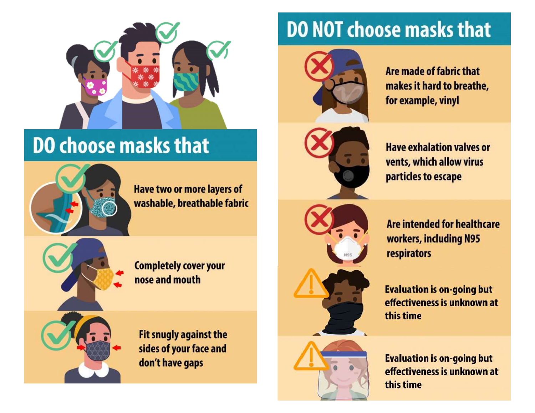

# **DO choose masks that**



**Have two or more layers of** washable, breathable fabric

**Completely cover your** nose and mouth

Fit snugly against the sides of your face and don't have gaps

# **DO NOT choose masks that**



Are made of fabric that makes it hard to breathe, for example, vinyl



**Have exhalation valves or** vents, which allow virus particles to escape



Are intended for healthcare workers, including N95 respirators

**Evaluation is on-going but** effectiveness is unknown at this time

**Evaluation is on-going but** effectiveness is unknown at this time